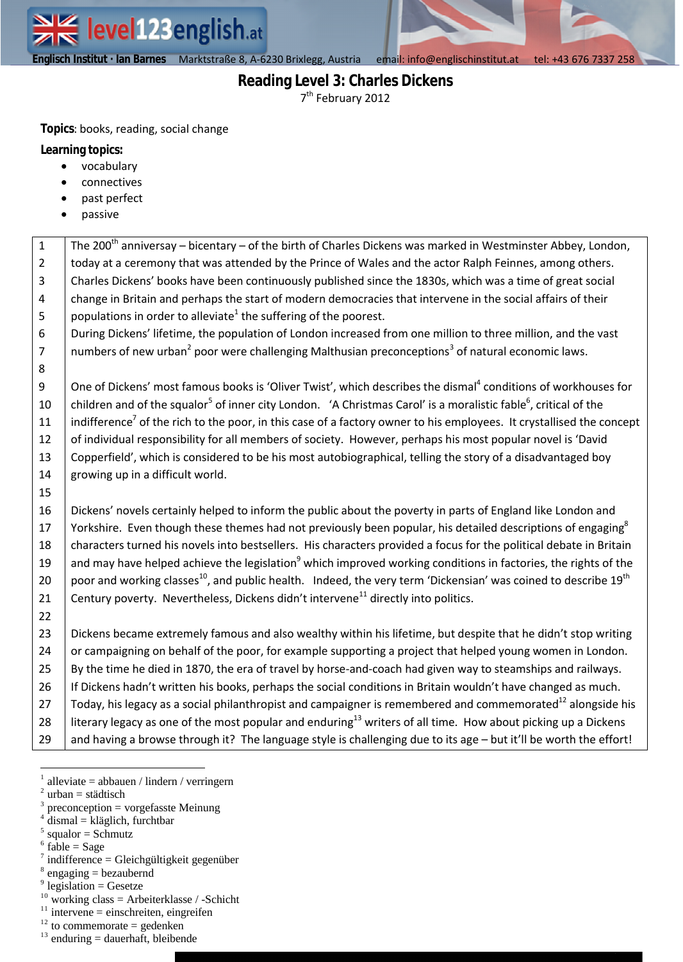**Englisch Institut · Ian Barnes** MarktstraÄe 8, A-6230 Brixlegg, Austria email: info@englischinstitut.at tel: +43 676 7337 258

**Englisch Institut · Ian Barnes** MarktstraÄe 8, A-6230 Brixlegg email| info@englischinstitut.at tel |+43 676 7337 258

# **Reading Level 3: Charles Dickens** 7<sup>th</sup> February 2012

**Topics**: books, reading, social change

**Learning topics:**

- vocabulary
- connectives
- past perfect
- passive

| $\mathbf{1}$   | The 200 <sup>th</sup> anniversay – bicentary – of the birth of Charles Dickens was marked in Westminster Abbey, London,                 |
|----------------|-----------------------------------------------------------------------------------------------------------------------------------------|
| $\overline{2}$ | today at a ceremony that was attended by the Prince of Wales and the actor Ralph Feinnes, among others.                                 |
| $\overline{3}$ | Charles Dickens' books have been continuously published since the 1830s, which was a time of great social                               |
| $\overline{a}$ | change in Britain and perhaps the start of modern democracies that intervene in the social affairs of their                             |
| 5              | populations in order to alleviate <sup>1</sup> the suffering of the poorest.                                                            |
| 6              | During Dickens' lifetime, the population of London increased from one million to three million, and the vast                            |
| $\overline{7}$ | numbers of new urban <sup>2</sup> poor were challenging Malthusian preconceptions <sup>3</sup> of natural economic laws.                |
| $\bf 8$        |                                                                                                                                         |
| 9              | One of Dickens' most famous books is 'Oliver Twist', which describes the dismal <sup>4</sup> conditions of workhouses for               |
| 10             | children and of the squalor <sup>5</sup> of inner city London. 'A Christmas Carol' is a moralistic fable <sup>6</sup> , critical of the |
| 11             | indifference <sup>7</sup> of the rich to the poor, in this case of a factory owner to his employees. It crystallised the concept        |
| 12             | of individual responsibility for all members of society. However, perhaps his most popular novel is 'David                              |
| 13             | Copperfield', which is considered to be his most autobiographical, telling the story of a disadvantaged boy                             |
| 14             | growing up in a difficult world.                                                                                                        |
| 15             |                                                                                                                                         |
| 16             | Dickens' novels certainly helped to inform the public about the poverty in parts of England like London and                             |
| 17             | Yorkshire. Even though these themes had not previously been popular, his detailed descriptions of engaging <sup>8</sup>                 |
| 18             | characters turned his novels into bestsellers. His characters provided a focus for the political debate in Britain                      |
| 19             | and may have helped achieve the legislation <sup>9</sup> which improved working conditions in factories, the rights of the              |
| 20             | poor and working classes <sup>10</sup> , and public health. Indeed, the very term 'Dickensian' was coined to describe 19 <sup>th</sup>  |
| 21             | Century poverty. Nevertheless, Dickens didn't intervene <sup>11</sup> directly into politics.                                           |
| 22             |                                                                                                                                         |
| 23             | Dickens became extremely famous and also wealthy within his lifetime, but despite that he didn't stop writing                           |
| 24             | or campaigning on behalf of the poor, for example supporting a project that helped young women in London.                               |
| 25             | By the time he died in 1870, the era of travel by horse-and-coach had given way to steamships and railways.                             |
| 26             | If Dickens hadn't written his books, perhaps the social conditions in Britain wouldn't have changed as much.                            |
| 27             | Today, his legacy as a social philanthropist and campaigner is remembered and commemorated <sup>12</sup> alongside his                  |
| 28             | literary legacy as one of the most popular and enduring <sup>13</sup> writers of all time. How about picking up a Dickens               |
| 29             | and having a browse through it? The language style is challenging due to its age - but it'll be worth the effort!                       |

<sup>2</sup> urban = städtisch

 $6$  fable = Sage

- <sup>10</sup> working class = Arbeiterklasse / -Schicht
- $11$  intervene = einschreiten, eingreifen
- $12$  to commemorate = gedenken
- $13$  enduring = dauerhaft, bleibende

<sup>1</sup> alleviate = abbauen / lindern / verringern

preconception = vorgefasste Meinung 4

dismal = kläglich, furchtbar

<sup>5</sup>  $squator = Schmutz$ 

 $\frac{1}{7}$  indifference = Gleichgültigkeit gegenüber

 $8$  engaging = bezaubernd

 $9$  legislation = Gesetze